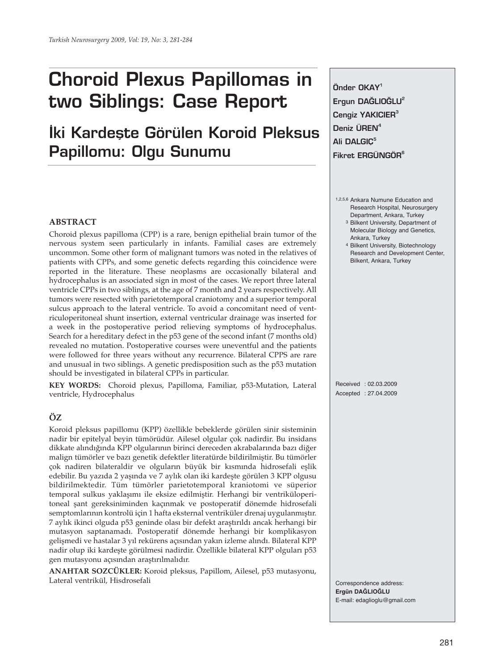# **Choroid Plexus Papillomas in two Siblings: Case Report**

# **Iki Kardeste Görülen Koroid Pleksus Papillomu: Olgu Sunumu**

# **ABSTRACT**

Choroid plexus papilloma (CPP) is a rare, benign epithelial brain tumor of the nervous system seen particularly in infants. Familial cases are extremely uncommon. Some other form of malignant tumors was noted in the relatives of patients with CPPs, and some genetic defects regarding this coincidence were reported in the literature. These neoplasms are occasionally bilateral and hydrocephalus is an associated sign in most of the cases. We report three lateral ventricle CPPs in two siblings, at the age of 7 month and 2 years respectively. All tumors were resected with parietotemporal craniotomy and a superior temporal sulcus approach to the lateral ventricle. To avoid a concomitant need of ventriculoperitoneal shunt insertion, external ventricular drainage was inserted for a week in the postoperative period relieving symptoms of hydrocephalus. Search for a hereditary defect in the p53 gene of the second infant (7 months old) revealed no mutation. Postoperative courses were uneventful and the patients were followed for three years without any recurrence. Bilateral CPPS are rare and unusual in two siblings. A genetic predisposition such as the p53 mutation should be investigated in bilateral CPPs in particular.

**KEY WORDS:** Choroid plexus, Papilloma, Familiar, p53-Mutation, Lateral ventricle, Hydrocephalus

# **ÖZ**

Koroid pleksus papillomu (KPP) özellikle bebeklerde görülen sinir sisteminin nadir bir epitelyal beyin tümörüdür. Ailesel olgular çok nadirdir. Bu insidans dikkate alındığında KPP olgularının birinci dereceden akrabalarında bazı diğer malign tümörler ve bazı genetik defektler literatürde bildirilmiştir. Bu tümörler çok nadiren bilateraldir ve olguların büyük bir kısmında hidrosefali eşlik edebilir. Bu yazıda 2 yaşında ve 7 aylık olan iki kardeşte görülen 3 KPP olgusu bildirilmektedir. Tüm tümörler parietotemporal kraniotomi ve süperior temporal sulkus yaklaşımı ile eksize edilmiştir. Herhangi bir ventriküloperitoneal şant gereksiniminden kaçınmak ve postoperatif dönemde hidrosefali semptomlarının kontrolü için 1 hafta eksternal ventriküler drenaj uygulanmıştır. 7 aylık ikinci olguda p53 geninde olası bir defekt araştırıldı ancak herhangi bir mutasyon saptanamadı. Postoperatif dönemde herhangi bir komplikasyon gelişmedi ve hastalar 3 yıl rekürens açısından yakın izleme alındı. Bilateral KPP nadir olup iki kardeşte görülmesi nadirdir. Özellikle bilateral KPP olguları p53 gen mutasyonu açısından araştırılmalıdır.

**ANAHTAR SOZCÜKLER:** Koroid pleksus, Papillom, Ailesel, p53 mutasyonu, Lateral ventrikül, Hisdrosefali

**Önder OKAY1** Ergun DAĞLIOĞLU<sup>2</sup> **Cengiz YAKICIER3 Deniz ÜREN4 Ali DALGIÇ5 Fikret ERGÜNGÖR<sup>6</sup>**

- 1,2,5,6 Ankara Numune Education and Research Hospital, Neurosurgery Department, Ankara, Turkey 3 Bilkent University, Department of Molecular Biology and Genetics,
	- Ankara, Turkey 4 Bilkent University, Biotechnology Research and Development Center, Bilkent, Ankara, Turkey

Received : 02.03.2009 Accepted : 27.04.2009

Correspondence address: **Ergün DAĞLIOĞLU** E-mail: edaglioglu@gmail.com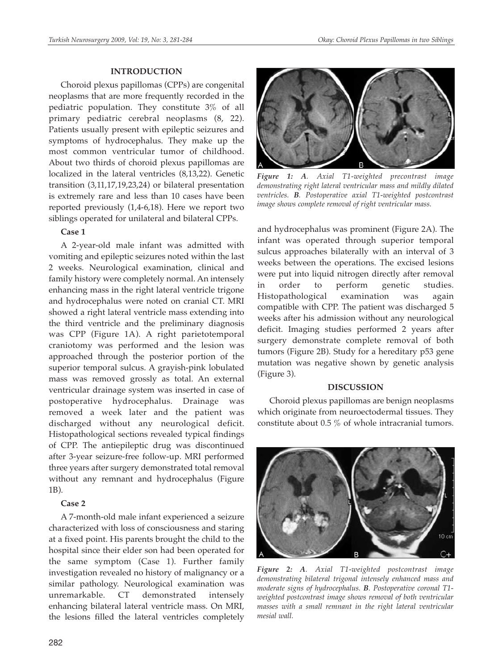#### **INTRODUCTION**

Choroid plexus papillomas (CPPs) are congenital neoplasms that are more frequently recorded in the pediatric population. They constitute 3% of all primary pediatric cerebral neoplasms (8, 22). Patients usually present with epileptic seizures and symptoms of hydrocephalus. They make up the most common ventricular tumor of childhood. About two thirds of choroid plexus papillomas are localized in the lateral ventricles (8,13,22). Genetic transition (3,11,17,19,23,24) or bilateral presentation is extremely rare and less than 10 cases have been reported previously (1,4-6,18). Here we report two siblings operated for unilateral and bilateral CPPs.

# **Case 1**

A 2-year-old male infant was admitted with vomiting and epileptic seizures noted within the last 2 weeks. Neurological examination, clinical and family history were completely normal. An intensely enhancing mass in the right lateral ventricle trigone and hydrocephalus were noted on cranial CT. MRI showed a right lateral ventricle mass extending into the third ventricle and the preliminary diagnosis was CPP (Figure 1A). A right parietotemporal craniotomy was performed and the lesion was approached through the posterior portion of the superior temporal sulcus. A grayish-pink lobulated mass was removed grossly as total. An external ventricular drainage system was inserted in case of postoperative hydrocephalus. Drainage was removed a week later and the patient was discharged without any neurological deficit. Histopathological sections revealed typical findings of CPP. The antiepileptic drug was discontinued after 3-year seizure-free follow-up. MRI performed three years after surgery demonstrated total removal without any remnant and hydrocephalus (Figure 1B).

# **Case 2**

A 7-month-old male infant experienced a seizure characterized with loss of consciousness and staring at a fixed point. His parents brought the child to the hospital since their elder son had been operated for the same symptom (Case 1). Further family investigation revealed no history of malignancy or a similar pathology. Neurological examination was unremarkable. CT demonstrated intensely enhancing bilateral lateral ventricle mass. On MRI, the lesions filled the lateral ventricles completely



*Figure 1: A. Axial T1-weighted precontrast image demonstrating right lateral ventricular mass and mildly dilated ventricles. B. Postoperative axial T1-weighted postcontrast image shows complete removal of right ventricular mass.*

and hydrocephalus was prominent (Figure 2A). The infant was operated through superior temporal sulcus approaches bilaterally with an interval of 3 weeks between the operations. The excised lesions were put into liquid nitrogen directly after removal in order to perform genetic studies. Histopathological examination was again compatible with CPP. The patient was discharged 5 weeks after his admission without any neurological deficit. Imaging studies performed 2 years after surgery demonstrate complete removal of both tumors (Figure 2B). Study for a hereditary p53 gene mutation was negative shown by genetic analysis (Figure 3).

#### **DISCUSSION**

Choroid plexus papillomas are benign neoplasms which originate from neuroectodermal tissues. They constitute about 0.5 % of whole intracranial tumors.



*Figure 2: A. Axial T1-weighted postcontrast image demonstrating bilateral trigonal intensely enhanced mass and moderate signs of hydrocephalus. B. Postoperative coronal T1 weighted postcontrast image shows removal of both ventricular masses with a small remnant in the right lateral ventricular mesial wall.*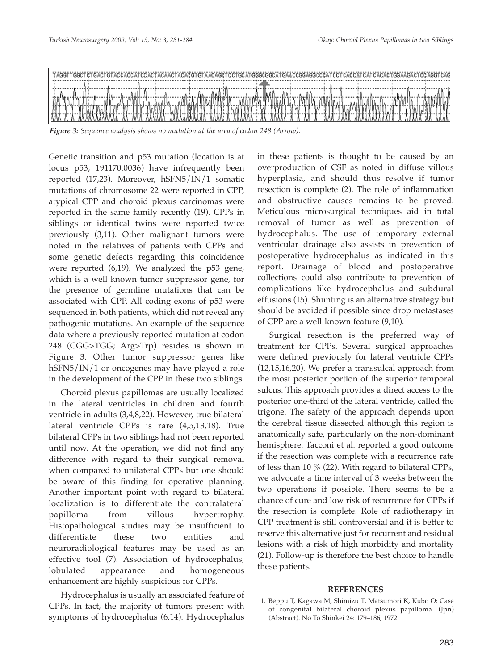

*Figure 3: Sequence analysis shows no mutation at the area of codon 248 (Arrow).*

Genetic transition and p53 mutation (location is at locus p53, 191170.0036) have infrequently been reported (17,23). Moreover, hSFN5/IN/1 somatic mutations of chromosome 22 were reported in CPP, atypical CPP and choroid plexus carcinomas were reported in the same family recently (19). CPPs in siblings or identical twins were reported twice previously (3,11). Other malignant tumors were noted in the relatives of patients with CPPs and some genetic defects regarding this coincidence were reported (6,19). We analyzed the p53 gene, which is a well known tumor suppressor gene, for the presence of germline mutations that can be associated with CPP. All coding exons of p53 were sequenced in both patients, which did not reveal any pathogenic mutations. An example of the sequence data where a previously reported mutation at codon 248 (CGG>TGG; Arg>Trp) resides is shown in Figure 3. Other tumor suppressor genes like hSFN5/IN/1 or oncogenes may have played a role in the development of the CPP in these two siblings.

Choroid plexus papillomas are usually localized in the lateral ventricles in children and fourth ventricle in adults (3,4,8,22). However, true bilateral lateral ventricle CPPs is rare (4,5,13,18). True bilateral CPPs in two siblings had not been reported until now. At the operation, we did not find any difference with regard to their surgical removal when compared to unilateral CPPs but one should be aware of this finding for operative planning. Another important point with regard to bilateral localization is to differentiate the contralateral papilloma from villous hypertrophy. Histopathological studies may be insufficient to differentiate these two entities and neuroradiological features may be used as an effective tool (7). Association of hydrocephalus, lobulated appearance and homogeneous enhancement are highly suspicious for CPPs.

Hydrocephalus is usually an associated feature of CPPs. In fact, the majority of tumors present with symptoms of hydrocephalus (6,14). Hydrocephalus in these patients is thought to be caused by an overproduction of CSF as noted in diffuse villous hyperplasia, and should thus resolve if tumor resection is complete (2). The role of inflammation and obstructive causes remains to be proved. Meticulous microsurgical techniques aid in total removal of tumor as well as prevention of hydrocephalus. The use of temporary external ventricular drainage also assists in prevention of postoperative hydrocephalus as indicated in this report. Drainage of blood and postoperative collections could also contribute to prevention of complications like hydrocephalus and subdural effusions (15). Shunting is an alternative strategy but should be avoided if possible since drop metastases of CPP are a well-known feature (9,10).

Surgical resection is the preferred way of treatment for CPPs. Several surgical approaches were defined previously for lateral ventricle CPPs (12,15,16,20). We prefer a transsulcal approach from the most posterior portion of the superior temporal sulcus. This approach provides a direct access to the posterior one-third of the lateral ventricle, called the trigone. The safety of the approach depends upon the cerebral tissue dissected although this region is anatomically safe, particularly on the non-dominant hemisphere. Tacconi et al. reported a good outcome if the resection was complete with a recurrence rate of less than 10 % (22). With regard to bilateral CPPs, we advocate a time interval of 3 weeks between the two operations if possible. There seems to be a chance of cure and low risk of recurrence for CPPs if the resection is complete. Role of radiotherapy in CPP treatment is still controversial and it is better to reserve this alternative just for recurrent and residual lesions with a risk of high morbidity and mortality (21). Follow-up is therefore the best choice to handle these patients.

# **REFERENCES**

1. Beppu T, Kagawa M, Shimizu T, Matsumori K, Kubo O: Case of congenital bilateral choroid plexus papilloma. (Jpn) (Abstract). No To Shinkei 24: 179–186, 1972